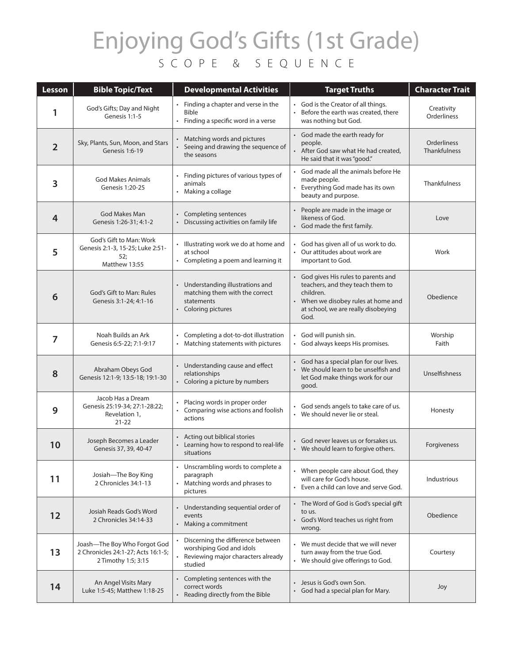## Enjoying God's Gifts (1st Grade) SCOPE & SEQUENCE

| Lesson         | <b>Bible Topic/Text</b>                                                                   | <b>Developmental Activities</b>                                                                                             | <b>Target Truths</b>                                                                                                                                                        | <b>Character Trait</b>                    |
|----------------|-------------------------------------------------------------------------------------------|-----------------------------------------------------------------------------------------------------------------------------|-----------------------------------------------------------------------------------------------------------------------------------------------------------------------------|-------------------------------------------|
| 1              | God's Gifts; Day and Night<br>Genesis 1:1-5                                               | • Finding a chapter and verse in the<br><b>Bible</b><br>• Finding a specific word in a verse                                | • God is the Creator of all things.<br>Before the earth was created, there<br>was nothing but God.                                                                          | Creativity<br>Orderliness                 |
| $\overline{2}$ | Sky, Plants, Sun, Moon, and Stars<br>Genesis 1:6-19                                       | • Matching words and pictures<br>Seeing and drawing the sequence of<br>the seasons                                          | • God made the earth ready for<br>people.<br>• After God saw what He had created,<br>He said that it was "good."                                                            | <b>Orderliness</b><br><b>Thankfulness</b> |
| 3              | <b>God Makes Animals</b><br>Genesis 1:20-25                                               | Finding pictures of various types of<br>animals<br>Making a collage                                                         | God made all the animals before He<br>made people.<br>Everything God made has its own<br>beauty and purpose.                                                                | Thankfulness                              |
| 4              | God Makes Man<br>Genesis 1:26-31; 4:1-2                                                   | • Completing sentences<br>Discussing activities on family life                                                              | • People are made in the image or<br>likeness of God.<br>• God made the first family.                                                                                       | Love                                      |
| 5              | God's Gift to Man: Work<br>Genesis 2:1-3, 15-25; Luke 2:51-<br>52;<br>Matthew 13:55       | • Illustrating work we do at home and<br>at school<br>• Completing a poem and learning it                                   | God has given all of us work to do.<br>• Our attitudes about work are<br>important to God.                                                                                  | Work                                      |
| 6              | God's Gift to Man: Rules<br>Genesis 3:1-24; 4:1-16                                        | • Understanding illustrations and<br>matching them with the correct<br>statements<br>• Coloring pictures                    | • God gives His rules to parents and<br>teachers, and they teach them to<br>children.<br>• When we disobey rules at home and<br>at school, we are really disobeying<br>God. | Obedience                                 |
| 7              | Noah Builds an Ark<br>Genesis 6:5-22; 7:1-9:17                                            | Completing a dot-to-dot illustration<br>Matching statements with pictures<br>$\bullet$                                      | God will punish sin.<br>God always keeps His promises.<br>$\bullet$                                                                                                         | Worship<br>Faith                          |
| 8              | Abraham Obeys God<br>Genesis 12:1-9; 13:5-18; 19:1-30                                     | • Understanding cause and effect<br>relationships<br>• Coloring a picture by numbers                                        | • God has a special plan for our lives.<br>• We should learn to be unselfish and<br>let God make things work for our<br>good.                                               | Unselfishness                             |
| 9              | Jacob Has a Dream<br>Genesis 25:19-34; 27:1-28:22;<br>Revelation 1,<br>$21 - 22$          | Placing words in proper order<br>• Comparing wise actions and foolish<br>actions                                            | God sends angels to take care of us.<br>• We should never lie or steal.                                                                                                     | Honesty                                   |
| 10             | Joseph Becomes a Leader<br>Genesis 37, 39, 40-47                                          | • Acting out biblical stories<br>• Learning how to respond to real-life<br>situations                                       | • God never leaves us or forsakes us.<br>• We should learn to forgive others.                                                                                               | Forgiveness                               |
| 11             | Josiah-The Boy King<br>2 Chronicles 34:1-13                                               | • Unscrambling words to complete a<br>paragraph<br>Matching words and phrases to<br>pictures                                | • When people care about God, they<br>will care for God's house.<br>Even a child can love and serve God.                                                                    | Industrious                               |
| 12             | Josiah Reads God's Word<br>2 Chronicles 34:14-33                                          | • Understanding sequential order of<br>events<br>• Making a commitment                                                      | • The Word of God is God's special gift<br>to us.<br>• God's Word teaches us right from<br>wrong.                                                                           | Obedience                                 |
| 13             | Joash-The Boy Who Forgot God<br>2 Chronicles 24:1-27; Acts 16:1-5;<br>2 Timothy 1:5; 3:15 | Discerning the difference between<br>worshiping God and idols<br>Reviewing major characters already<br>$\bullet$<br>studied | • We must decide that we will never<br>turn away from the true God.<br>• We should give offerings to God.                                                                   | Courtesy                                  |
| 14             | An Angel Visits Mary<br>Luke 1:5-45; Matthew 1:18-25                                      | • Completing sentences with the<br>correct words<br>Reading directly from the Bible                                         | Jesus is God's own Son.<br>God had a special plan for Mary.                                                                                                                 | Joy                                       |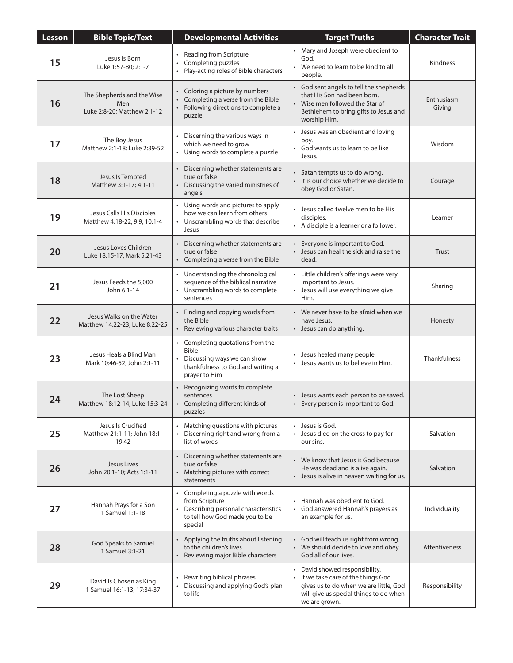| <b>Lesson</b> | <b>Bible Topic/Text</b>                                          | <b>Developmental Activities</b>                                                                                                                     | <b>Target Truths</b>                                                                                                                                                     | <b>Character Trait</b> |
|---------------|------------------------------------------------------------------|-----------------------------------------------------------------------------------------------------------------------------------------------------|--------------------------------------------------------------------------------------------------------------------------------------------------------------------------|------------------------|
| 15            | Jesus Is Born<br>Luke 1:57-80; 2:1-7                             | • Reading from Scripture<br>Completing puzzles<br>Play-acting roles of Bible characters                                                             | • Mary and Joseph were obedient to<br>God.<br>• We need to learn to be kind to all<br>people.                                                                            | <b>Kindness</b>        |
| 16            | The Shepherds and the Wise<br>Men<br>Luke 2:8-20; Matthew 2:1-12 | • Coloring a picture by numbers<br>Completing a verse from the Bible<br>Following directions to complete a<br>$\bullet$<br>puzzle                   | • God sent angels to tell the shepherds<br>that His Son had been born.<br>Wise men followed the Star of<br>Bethlehem to bring gifts to Jesus and<br>worship Him.         | Enthusiasm<br>Giving   |
| 17            | The Boy Jesus<br>Matthew 2:1-18; Luke 2:39-52                    | • Discerning the various ways in<br>which we need to grow<br>• Using words to complete a puzzle                                                     | • Jesus was an obedient and loving<br>boy.<br>• God wants us to learn to be like<br>Jesus.                                                                               | Wisdom                 |
| 18            | Jesus Is Tempted<br>Matthew 3:1-17; 4:1-11                       | • Discerning whether statements are<br>true or false<br>Discussing the varied ministries of<br>angels                                               | • Satan tempts us to do wrong.<br>• It is our choice whether we decide to<br>obey God or Satan.                                                                          | Courage                |
| 19            | Jesus Calls His Disciples<br>Matthew 4:18-22; 9:9; 10:1-4        | • Using words and pictures to apply<br>how we can learn from others<br>• Unscrambling words that describe<br>Jesus                                  | Jesus called twelve men to be His<br>disciples.<br>• A disciple is a learner or a follower.                                                                              | Learner                |
| 20            | Jesus Loves Children<br>Luke 18:15-17; Mark 5:21-43              | Discerning whether statements are<br>true or false<br>• Completing a verse from the Bible                                                           | Everyone is important to God.<br>• Jesus can heal the sick and raise the<br>dead.                                                                                        | Trust                  |
| 21            | Jesus Feeds the 5,000<br>John 6:1-14                             | • Understanding the chronological<br>sequence of the biblical narrative<br>• Unscrambling words to complete<br>sentences                            | • Little children's offerings were very<br>important to Jesus.<br>• Jesus will use everything we give<br>Him.                                                            | Sharing                |
| 22            | Jesus Walks on the Water<br>Matthew 14:22-23; Luke 8:22-25       | Finding and copying words from<br>the Bible<br>Reviewing various character traits                                                                   | • We never have to be afraid when we<br>have Jesus.<br>• Jesus can do anything.                                                                                          | Honesty                |
| 23            | Jesus Heals a Blind Man<br>Mark 10:46-52; John 2:1-11            | • Completing quotations from the<br><b>Bible</b><br>• Discussing ways we can show<br>thankfulness to God and writing a<br>prayer to Him             | Jesus healed many people.<br>• Jesus wants us to believe in Him.                                                                                                         | <b>Thankfulness</b>    |
| 24            | The Lost Sheep<br>Matthew 18:12-14; Luke 15:3-24                 | • Recognizing words to complete<br>sentences<br>• Completing different kinds of<br>puzzles                                                          | • Jesus wants each person to be saved.<br>Every person is important to God.                                                                                              |                        |
| 25            | Jesus Is Crucified<br>Matthew 21:1-11; John 18:1-<br>19:42       | • Matching questions with pictures<br>Discerning right and wrong from a<br>$\bullet$<br>list of words                                               | • Jesus is God.<br>• Jesus died on the cross to pay for<br>our sins.                                                                                                     | Salvation              |
| 26            | Jesus Lives<br>John 20:1-10; Acts 1:1-11                         | • Discerning whether statements are<br>true or false<br>• Matching pictures with correct<br>statements                                              | • We know that Jesus is God because<br>He was dead and is alive again.<br>• Jesus is alive in heaven waiting for us.                                                     | Salvation              |
| 27            | Hannah Prays for a Son<br>1 Samuel 1:1-18                        | • Completing a puzzle with words<br>from Scripture<br>Describing personal characteristics<br>$\bullet$<br>to tell how God made you to be<br>special | Hannah was obedient to God.<br>• God answered Hannah's prayers as<br>an example for us.                                                                                  | Individuality          |
| 28            | God Speaks to Samuel<br>1 Samuel 3:1-21                          | • Applying the truths about listening<br>to the children's lives<br>Reviewing major Bible characters                                                | • God will teach us right from wrong.<br>• We should decide to love and obey<br>God all of our lives.                                                                    | Attentiveness          |
| 29            | David Is Chosen as King<br>1 Samuel 16:1-13; 17:34-37            | Rewriting biblical phrases<br>Discussing and applying God's plan<br>to life                                                                         | David showed responsibility.<br>• If we take care of the things God<br>gives us to do when we are little, God<br>will give us special things to do when<br>we are grown. | Responsibility         |